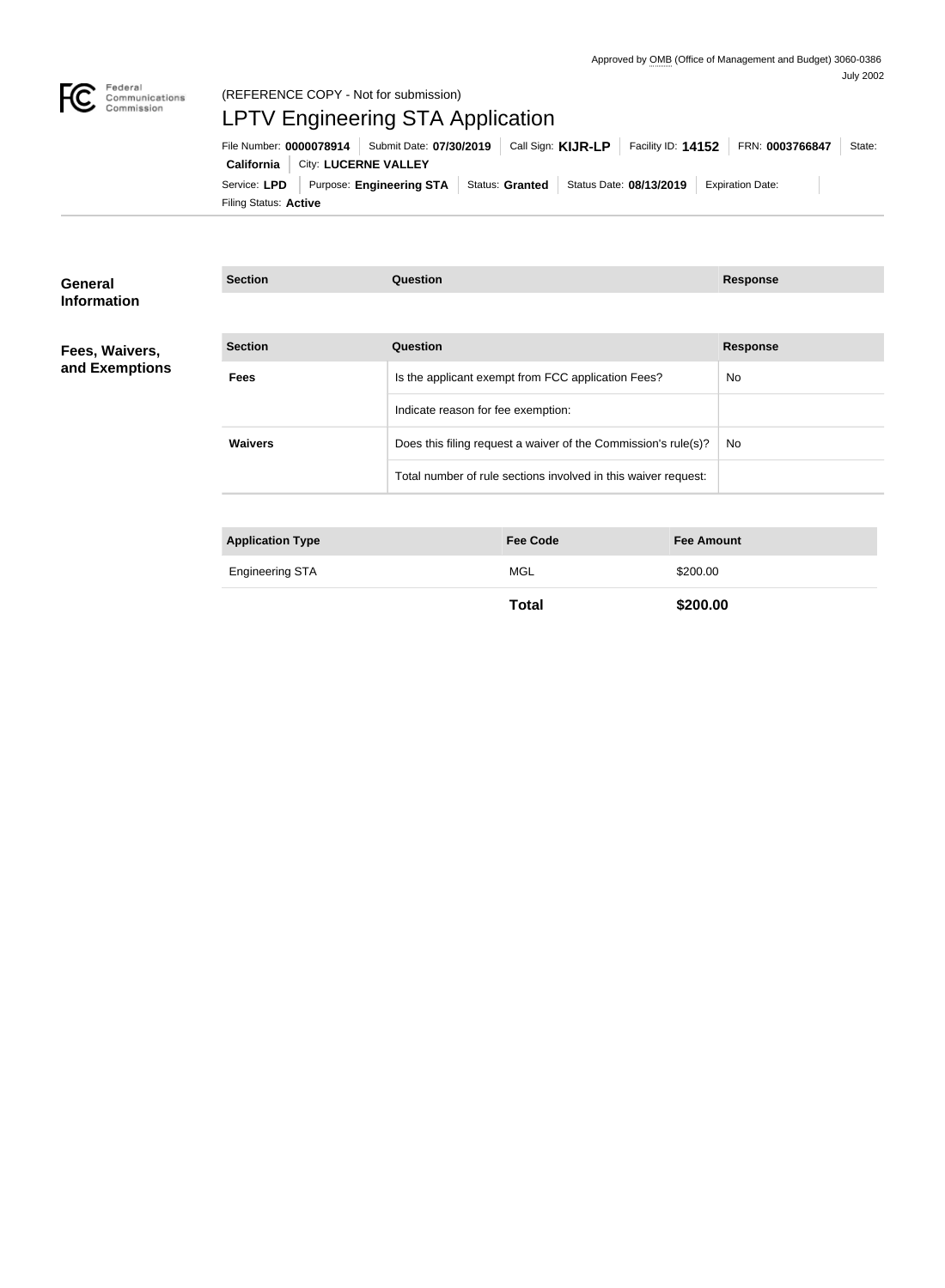

# (REFERENCE COPY - Not for submission) LPTV Engineering STA Application

Filing Status: **Active** Service: LPD Purpose: Engineering STA Status: Granted Status Date: 08/13/2019 Expiration Date: **California** City: LUCERNE VALLEY File Number: **0000078914** Submit Date: **07/30/2019** Call Sign: **KIJR-LP** Facility ID: **14152** FRN: **0003766847** State:

| General<br><b>Information</b> | <b>Section</b><br>Question                                        |                                                                |                   | <b>Response</b> |
|-------------------------------|-------------------------------------------------------------------|----------------------------------------------------------------|-------------------|-----------------|
|                               |                                                                   |                                                                |                   |                 |
| Fees, Waivers,                | <b>Section</b>                                                    | Question                                                       |                   | <b>Response</b> |
| and Exemptions                | <b>Fees</b><br>Is the applicant exempt from FCC application Fees? |                                                                | No.               |                 |
|                               |                                                                   | Indicate reason for fee exemption:                             |                   |                 |
|                               | <b>Waivers</b>                                                    | Does this filing request a waiver of the Commission's rule(s)? | No                |                 |
|                               |                                                                   | Total number of rule sections involved in this waiver request: |                   |                 |
|                               |                                                                   |                                                                |                   |                 |
|                               | <b>Application Type</b>                                           | <b>Fee Code</b>                                                | <b>Fee Amount</b> |                 |
|                               | <b>Engineering STA</b>                                            | <b>MGL</b>                                                     | \$200.00          |                 |

**Total \$200.00**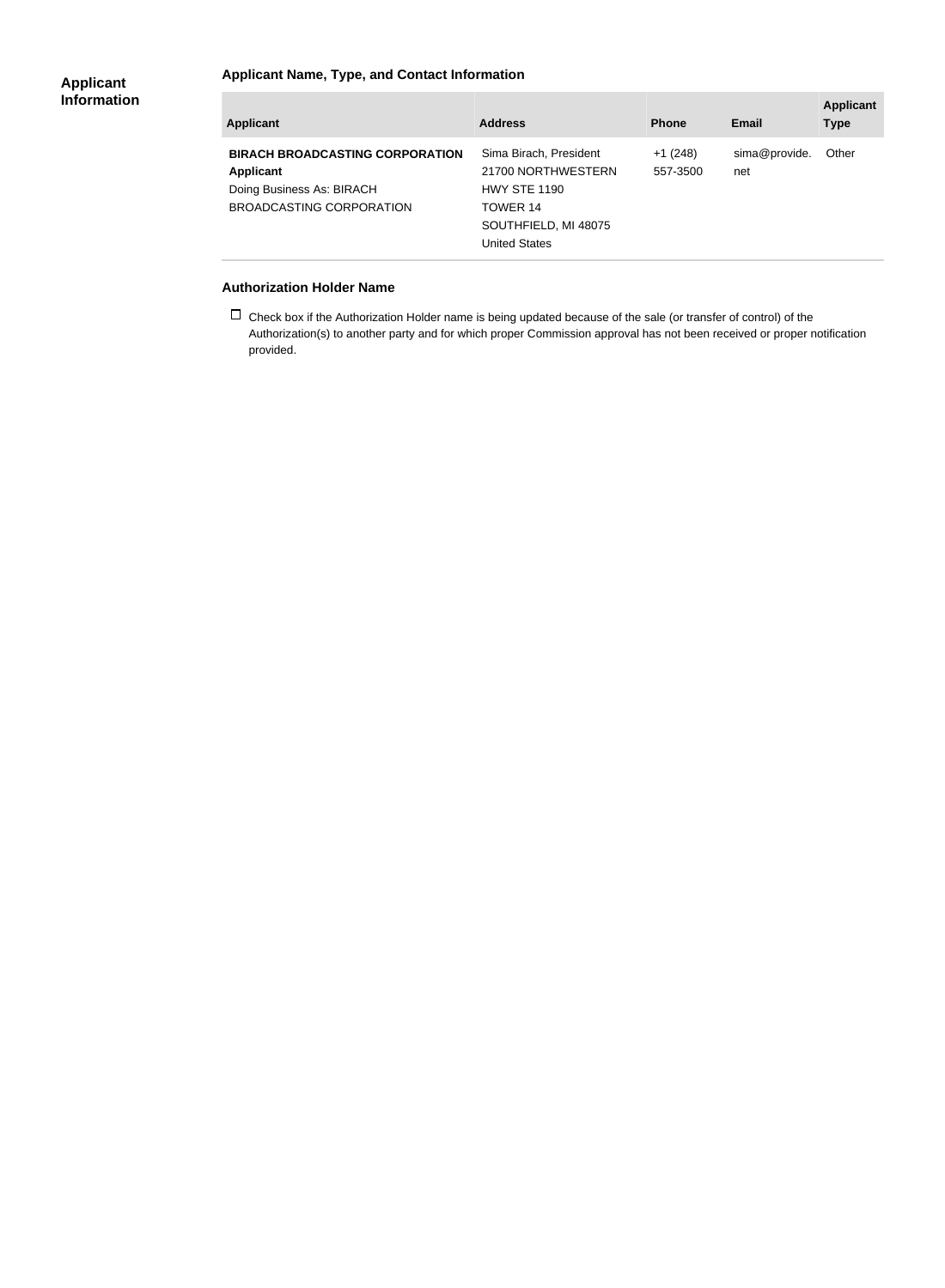### **Applicant Name, Type, and Contact Information**

| <b>Applicant</b>                                                                                                    | <b>Address</b>                                                                                                                  | <b>Phone</b>          | <b>Email</b>         | <b>Applicant</b><br><b>Type</b> |
|---------------------------------------------------------------------------------------------------------------------|---------------------------------------------------------------------------------------------------------------------------------|-----------------------|----------------------|---------------------------------|
| <b>BIRACH BROADCASTING CORPORATION</b><br><b>Applicant</b><br>Doing Business As: BIRACH<br>BROADCASTING CORPORATION | Sima Birach, President<br>21700 NORTHWESTERN<br><b>HWY STE 1190</b><br>TOWER 14<br>SOUTHFIELD, MI 48075<br><b>United States</b> | $+1(248)$<br>557-3500 | sima@provide.<br>net | Other                           |

#### **Authorization Holder Name**

 $\Box$  Check box if the Authorization Holder name is being updated because of the sale (or transfer of control) of the Authorization(s) to another party and for which proper Commission approval has not been received or proper notification provided.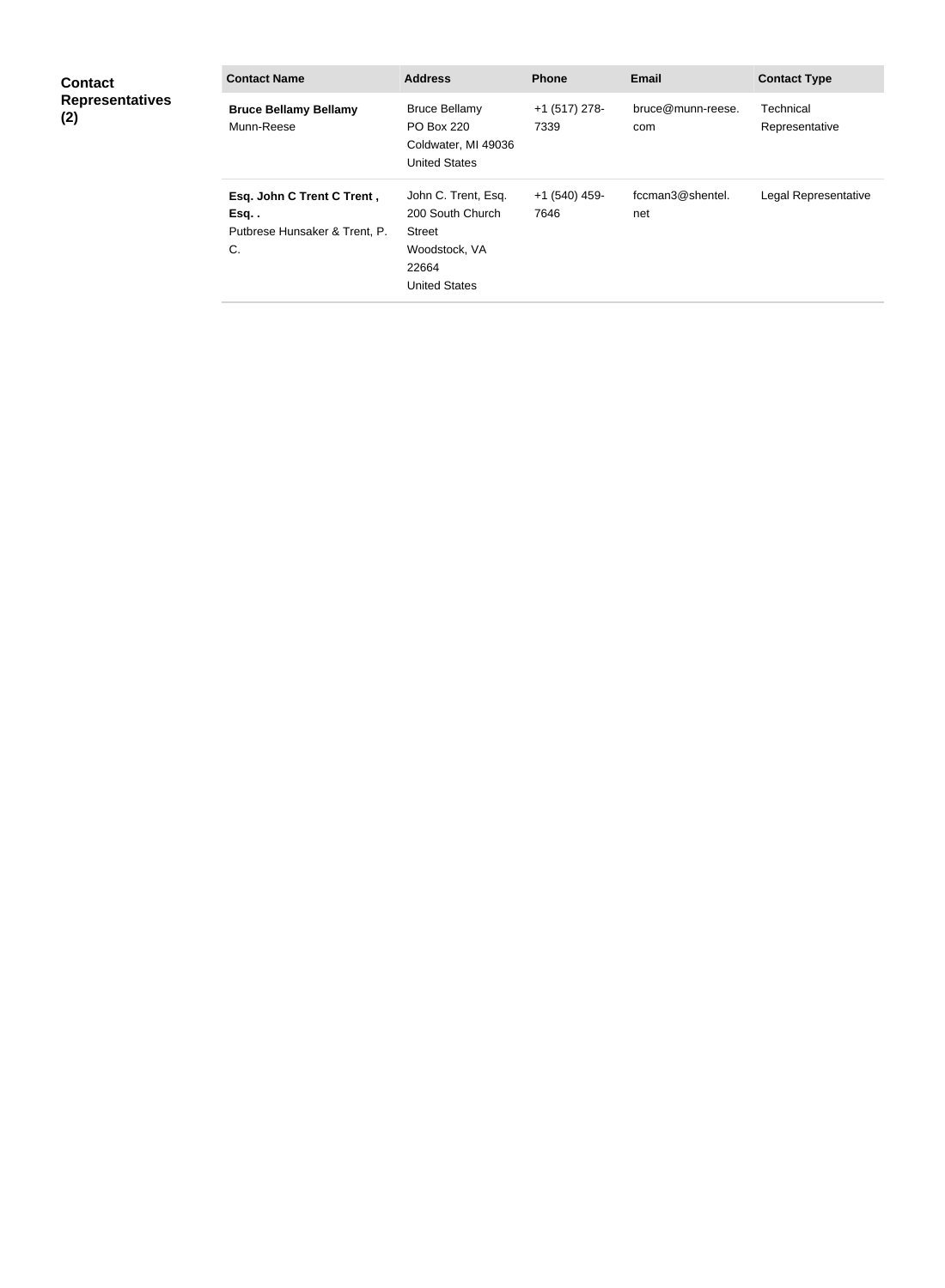| <b>Contact</b><br><b>Representatives</b><br>(2) | <b>Contact Name</b>                                                      | <b>Address</b>                                                                                      | <b>Phone</b>            | <b>Email</b>             | <b>Contact Type</b>         |
|-------------------------------------------------|--------------------------------------------------------------------------|-----------------------------------------------------------------------------------------------------|-------------------------|--------------------------|-----------------------------|
|                                                 | <b>Bruce Bellamy Bellamy</b><br>Munn-Reese                               | <b>Bruce Bellamy</b><br><b>PO Box 220</b><br>Coldwater, MI 49036<br><b>United States</b>            | +1 (517) 278-<br>7339   | bruce@munn-reese.<br>com | Technical<br>Representative |
|                                                 | Esq. John C Trent C Trent,<br>Esq<br>Putbrese Hunsaker & Trent, P.<br>C. | John C. Trent, Esq.<br>200 South Church<br>Street<br>Woodstock, VA<br>22664<br><b>United States</b> | $+1$ (540) 459-<br>7646 | fccman3@shentel.<br>net  | Legal Representative        |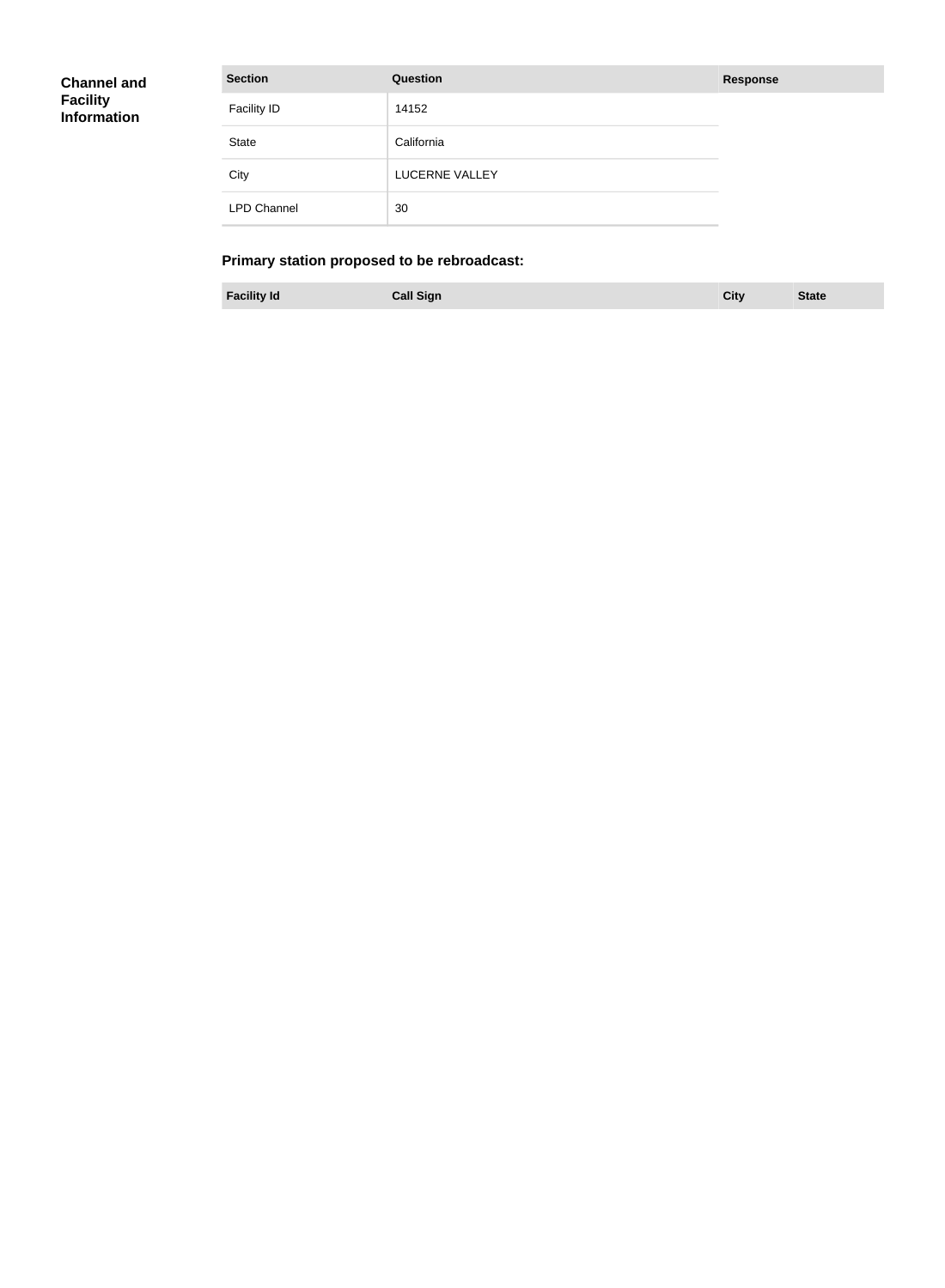| <b>Channel and</b> |  |
|--------------------|--|
| <b>Facility</b>    |  |
| <b>Information</b> |  |

| <b>Section</b>     | <b>Question</b>       | <b>Response</b> |
|--------------------|-----------------------|-----------------|
| Facility ID        | 14152                 |                 |
| <b>State</b>       | California            |                 |
| City               | <b>LUCERNE VALLEY</b> |                 |
| <b>LPD Channel</b> | 30                    |                 |

## **Primary station proposed to be rebroadcast:**

**Facility Id Call Sign City State**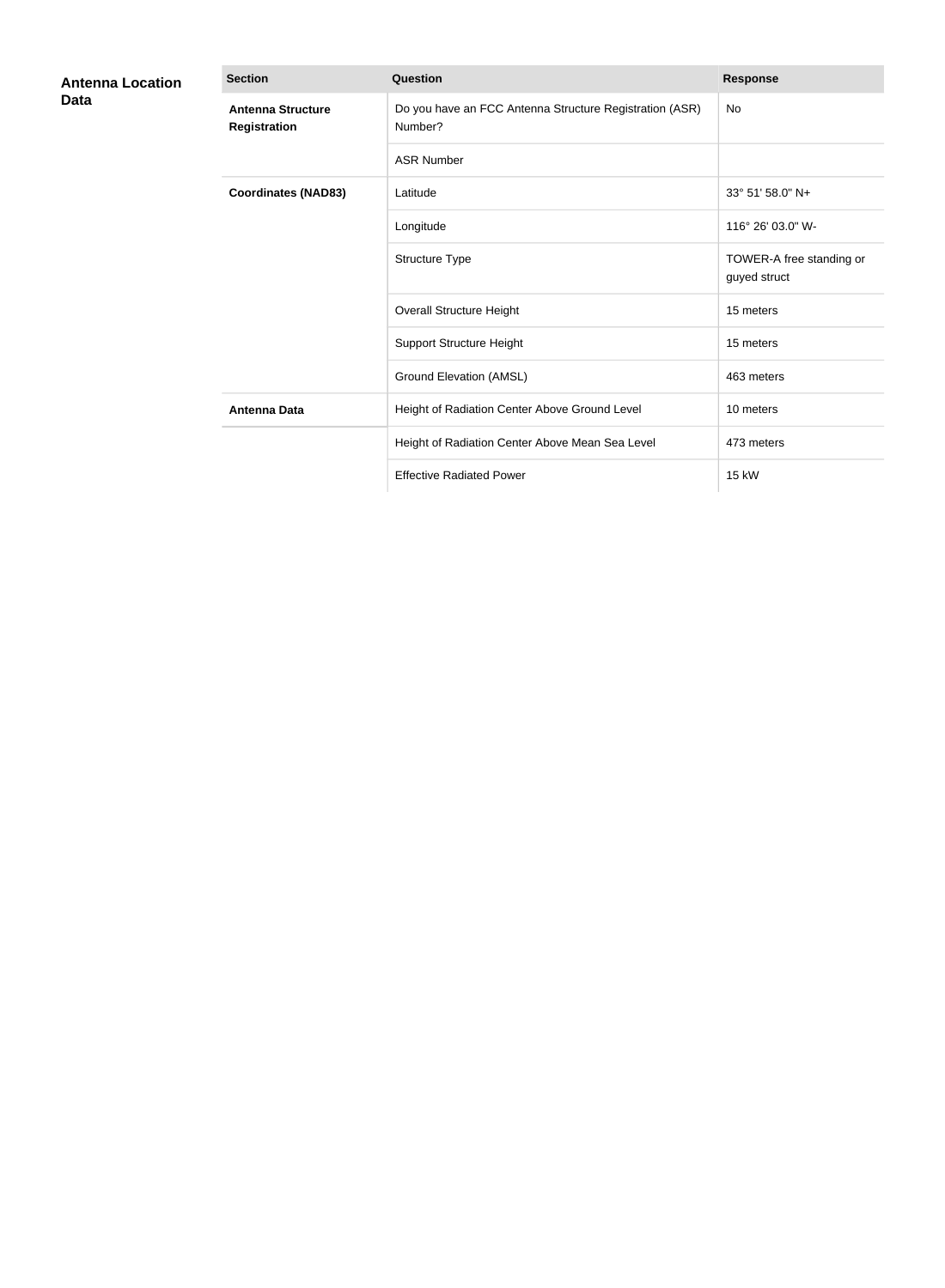| <b>Antenna Location</b><br>Data | <b>Section</b>                           | <b>Question</b>                                                    | <b>Response</b>                          |
|---------------------------------|------------------------------------------|--------------------------------------------------------------------|------------------------------------------|
|                                 | <b>Antenna Structure</b><br>Registration | Do you have an FCC Antenna Structure Registration (ASR)<br>Number? | <b>No</b>                                |
|                                 |                                          | <b>ASR Number</b>                                                  |                                          |
|                                 | <b>Coordinates (NAD83)</b>               | Latitude                                                           | 33° 51' 58.0" N+                         |
|                                 |                                          | Longitude                                                          | 116° 26' 03.0" W-                        |
|                                 |                                          | Structure Type                                                     | TOWER-A free standing or<br>guyed struct |
|                                 |                                          | <b>Overall Structure Height</b>                                    | 15 meters                                |
|                                 |                                          | <b>Support Structure Height</b>                                    | 15 meters                                |
|                                 |                                          | <b>Ground Elevation (AMSL)</b>                                     | 463 meters                               |
|                                 | <b>Antenna Data</b>                      | Height of Radiation Center Above Ground Level                      | 10 meters                                |
|                                 |                                          | Height of Radiation Center Above Mean Sea Level                    | 473 meters                               |
|                                 |                                          | <b>Effective Radiated Power</b>                                    | 15 kW                                    |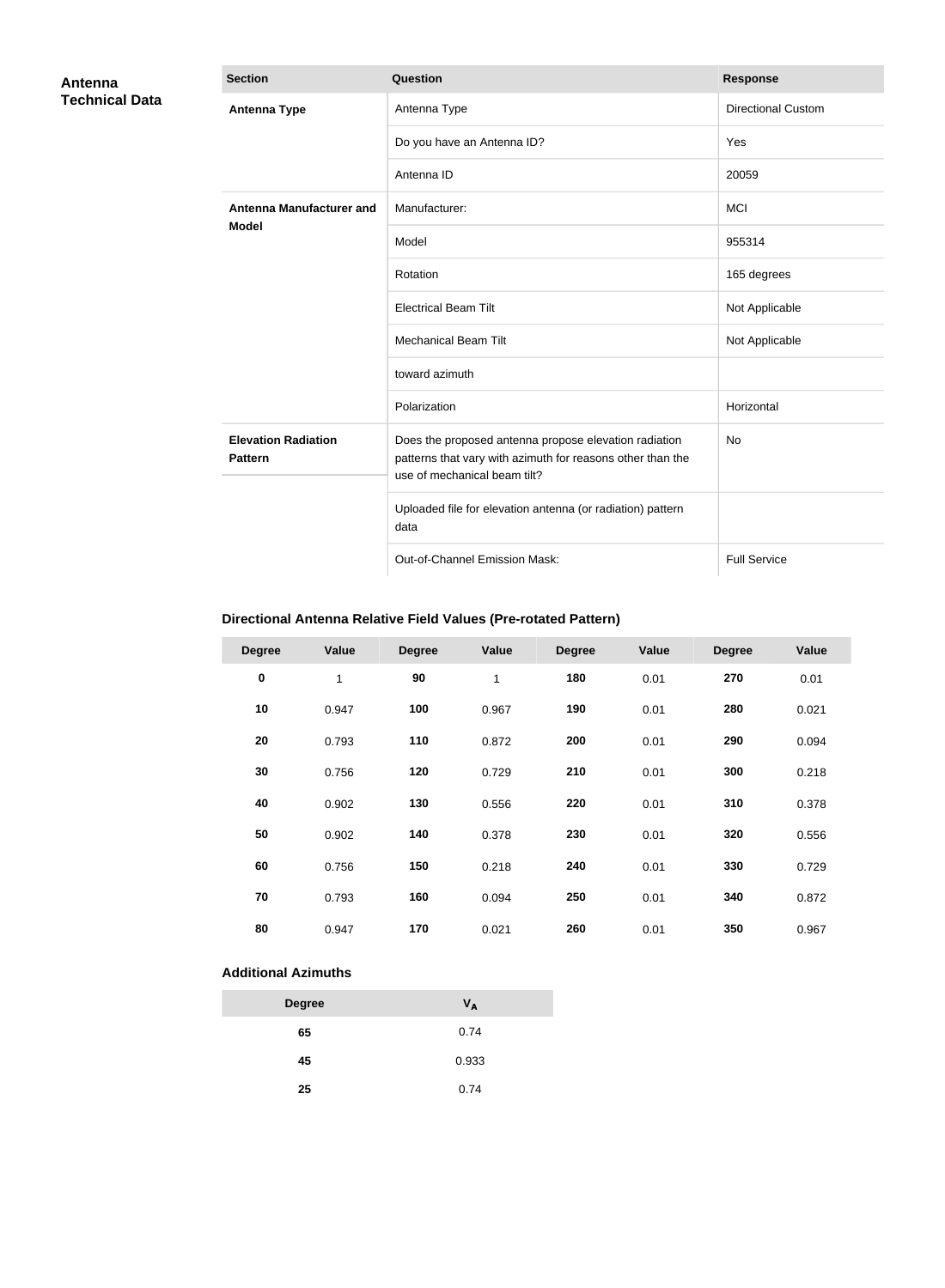| Antenna<br><b>Technical Data</b> | <b>Section</b>                               | Question                                                                                                                                            | <b>Response</b>           |
|----------------------------------|----------------------------------------------|-----------------------------------------------------------------------------------------------------------------------------------------------------|---------------------------|
|                                  | <b>Antenna Type</b>                          | Antenna Type                                                                                                                                        | <b>Directional Custom</b> |
|                                  |                                              | Do you have an Antenna ID?                                                                                                                          | Yes                       |
|                                  |                                              | Antenna ID                                                                                                                                          | 20059                     |
|                                  | Antenna Manufacturer and                     | Manufacturer:                                                                                                                                       | <b>MCI</b>                |
|                                  | <b>Model</b>                                 | Model                                                                                                                                               | 955314                    |
|                                  |                                              | Rotation                                                                                                                                            | 165 degrees               |
|                                  |                                              | <b>Electrical Beam Tilt</b>                                                                                                                         | Not Applicable            |
|                                  |                                              | <b>Mechanical Beam Tilt</b>                                                                                                                         | Not Applicable            |
|                                  |                                              | toward azimuth                                                                                                                                      |                           |
|                                  |                                              | Polarization                                                                                                                                        | Horizontal                |
|                                  | <b>Elevation Radiation</b><br><b>Pattern</b> | Does the proposed antenna propose elevation radiation<br>patterns that vary with azimuth for reasons other than the<br>use of mechanical beam tilt? | <b>No</b>                 |
|                                  |                                              | Uploaded file for elevation antenna (or radiation) pattern<br>data                                                                                  |                           |
|                                  |                                              | Out-of-Channel Emission Mask:                                                                                                                       | <b>Full Service</b>       |

## **Directional Antenna Relative Field Values (Pre-rotated Pattern)**

| <b>Degree</b> | Value       | <b>Degree</b> | <b>Value</b> | <b>Degree</b> | Value | <b>Degree</b> | Value |
|---------------|-------------|---------------|--------------|---------------|-------|---------------|-------|
| $\pmb{0}$     | $\mathbf 1$ | 90            | $\mathbf 1$  | 180           | 0.01  | 270           | 0.01  |
| 10            | 0.947       | 100           | 0.967        | 190           | 0.01  | 280           | 0.021 |
| 20            | 0.793       | 110           | 0.872        | 200           | 0.01  | 290           | 0.094 |
| 30            | 0.756       | 120           | 0.729        | 210           | 0.01  | 300           | 0.218 |
| 40            | 0.902       | 130           | 0.556        | 220           | 0.01  | 310           | 0.378 |
| 50            | 0.902       | 140           | 0.378        | 230           | 0.01  | 320           | 0.556 |
| 60            | 0.756       | 150           | 0.218        | 240           | 0.01  | 330           | 0.729 |
| 70            | 0.793       | 160           | 0.094        | 250           | 0.01  | 340           | 0.872 |
| 80            | 0.947       | 170           | 0.021        | 260           | 0.01  | 350           | 0.967 |

### **Additional Azimuths**

| <b>Degree</b> | V <sub>A</sub> |
|---------------|----------------|
| 65            | 0.74           |
| 45            | 0.933          |
| 25            | 0.74           |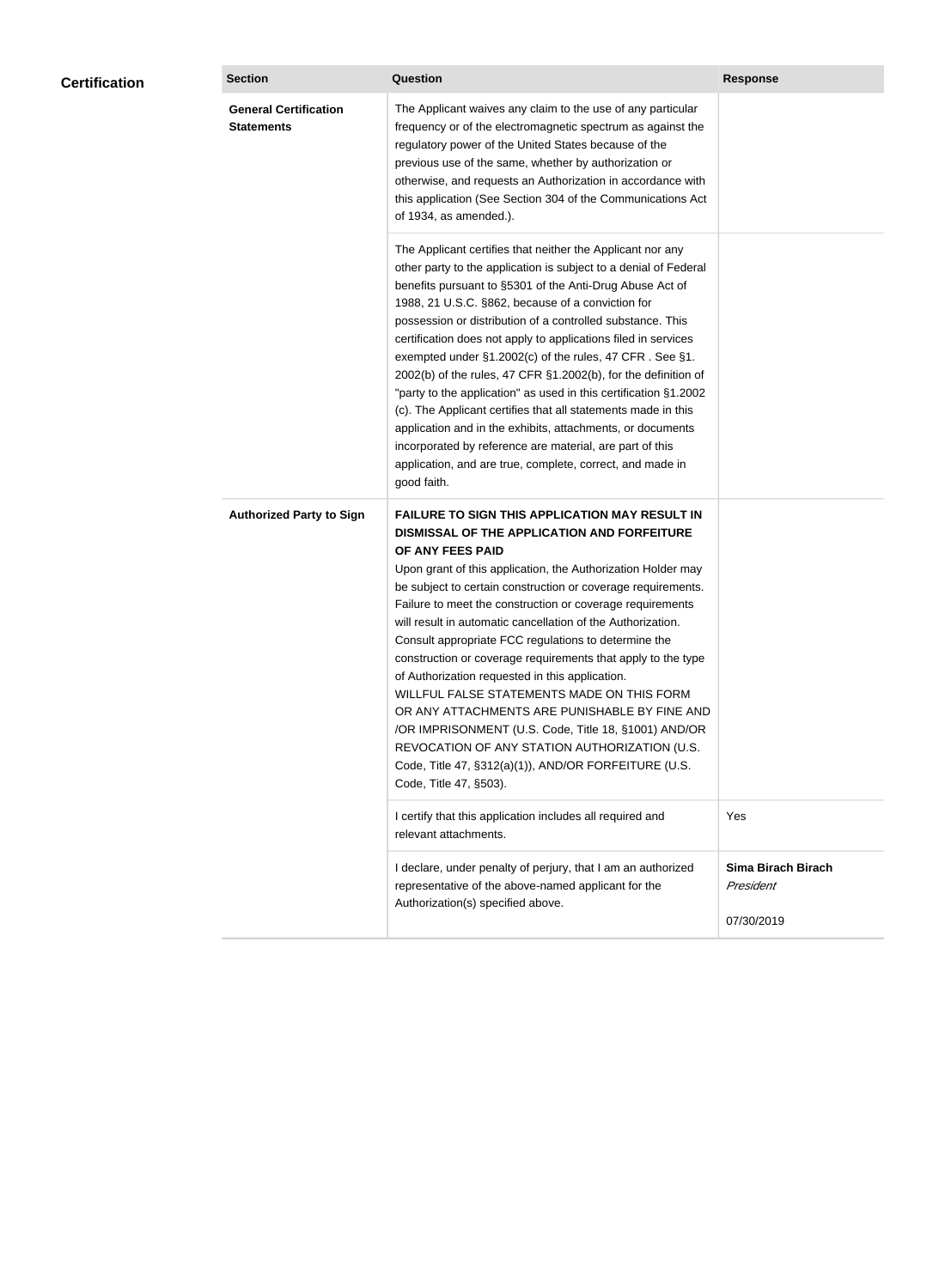| <b>Certification</b> | <b>Section</b>                                    | Question                                                                                                                                                                                                                                                                                                                                                                                                                                                                                                                                                                                                                                                                                                                                                                                                                                                  | <b>Response</b>                               |
|----------------------|---------------------------------------------------|-----------------------------------------------------------------------------------------------------------------------------------------------------------------------------------------------------------------------------------------------------------------------------------------------------------------------------------------------------------------------------------------------------------------------------------------------------------------------------------------------------------------------------------------------------------------------------------------------------------------------------------------------------------------------------------------------------------------------------------------------------------------------------------------------------------------------------------------------------------|-----------------------------------------------|
|                      | <b>General Certification</b><br><b>Statements</b> | The Applicant waives any claim to the use of any particular<br>frequency or of the electromagnetic spectrum as against the<br>regulatory power of the United States because of the<br>previous use of the same, whether by authorization or<br>otherwise, and requests an Authorization in accordance with<br>this application (See Section 304 of the Communications Act<br>of 1934, as amended.).                                                                                                                                                                                                                                                                                                                                                                                                                                                       |                                               |
|                      |                                                   | The Applicant certifies that neither the Applicant nor any<br>other party to the application is subject to a denial of Federal<br>benefits pursuant to §5301 of the Anti-Drug Abuse Act of<br>1988, 21 U.S.C. §862, because of a conviction for<br>possession or distribution of a controlled substance. This<br>certification does not apply to applications filed in services<br>exempted under §1.2002(c) of the rules, 47 CFR. See §1.<br>2002(b) of the rules, 47 CFR §1.2002(b), for the definition of<br>"party to the application" as used in this certification §1.2002<br>(c). The Applicant certifies that all statements made in this<br>application and in the exhibits, attachments, or documents<br>incorporated by reference are material, are part of this<br>application, and are true, complete, correct, and made in<br>good faith.   |                                               |
|                      | <b>Authorized Party to Sign</b>                   | <b>FAILURE TO SIGN THIS APPLICATION MAY RESULT IN</b><br>DISMISSAL OF THE APPLICATION AND FORFEITURE<br>OF ANY FEES PAID<br>Upon grant of this application, the Authorization Holder may<br>be subject to certain construction or coverage requirements.<br>Failure to meet the construction or coverage requirements<br>will result in automatic cancellation of the Authorization.<br>Consult appropriate FCC regulations to determine the<br>construction or coverage requirements that apply to the type<br>of Authorization requested in this application.<br>WILLFUL FALSE STATEMENTS MADE ON THIS FORM<br>OR ANY ATTACHMENTS ARE PUNISHABLE BY FINE AND<br>/OR IMPRISONMENT (U.S. Code, Title 18, §1001) AND/OR<br>REVOCATION OF ANY STATION AUTHORIZATION (U.S.<br>Code, Title 47, §312(a)(1)), AND/OR FORFEITURE (U.S.<br>Code, Title 47, §503). |                                               |
|                      |                                                   | I certify that this application includes all required and<br>relevant attachments.                                                                                                                                                                                                                                                                                                                                                                                                                                                                                                                                                                                                                                                                                                                                                                        | Yes                                           |
|                      |                                                   | I declare, under penalty of perjury, that I am an authorized<br>representative of the above-named applicant for the<br>Authorization(s) specified above.                                                                                                                                                                                                                                                                                                                                                                                                                                                                                                                                                                                                                                                                                                  | Sima Birach Birach<br>President<br>07/30/2019 |